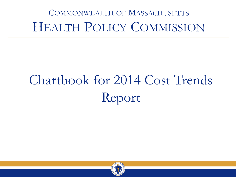# COMMONWEALTH OF MASSACHUSETTS HEALTH POLICY COMMISSION

# Chartbook for 2014 Cost Trends Report

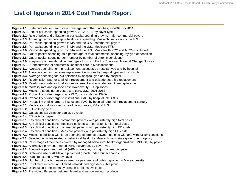#### **List of figures in 2014 Cost Trends Report**

**Figure 1.1**: State budgets for health care coverage and other priorities, FY2004- FY2014 **Figure 2.1:** Annual per-capita spending growth, 2012-2013, by payer type **Figure 2.2:** Role of price and utilization in per-capita spending growth, major commercial payers **Figure 2.3:** Annual growth in per-capita healthcare spending: Massachusetts versus the U.S. **Figure 2.4:** Per-capita spending growth in MA and the U.S., commercial payers **Figure 2.5:** Per-capita spending growth in MA and the U.S., Medicare FFS **Figure 2.6:** Per-capita spending growth in MA and the U.S., MassHealth PCC and MCOs combined **Figure 2.7:** Out-of-pocket spending as a percentage of total commercial spending, by type of condition **Figure 2.8:** Out-of-pocket spending per member by number of chronic conditions **Figure 2.9:** Frequency of provider alignment types for which the HPC received Material Change Notices **Figure 2.10:** Concentration of commercial inpatient care in Massachusetts **Figure 3.1:** Average spending for hip replacement episodes by hospital type and by hospital **Figure 3.2:** Average spending for knee replacement episodes by hospital type and by hospital **Figure 3.3:** Average spending for PCI episodes by hospital type and by hospital **Figure 3.4:** Readmission rate for total joint replacement and episode cost, hip replacement **Figure 3.5:** Readmission rate for total joint replacement and episode cost, knee replacement **Figure 3.6:** Mortality rate and episode cost, low-severity PCI episodes **Figure 4.1:** Medicare spending on post-acute care, U.S., 2001-2012 **Figure 4.2:** Probability of discharge to any PAC, by hospital, all DRGs **Figure 4.3:** Probability of discharge to institutional PAC, by hospital, all DRGs **Figure 4.4:** Probability of discharge to institutional PAC, by hospital, after joint replacement surgery **Figure 5.1:** Medicare condition-specific readmission rates, MA and U.S. **Figure 5.2:** ED visits by type **Figure 5.3:** Outpatient ED visits per capita, by region **Figure 5.4:** ED visits by payer **Figure 6.1:** Key clinical conditions, commercial patients with persistently high total costs **Figure 6.2:** Key clinical conditions, Medicare patients with persistently high total costs **Figure 6.3:** Key clinical conditions, commercial patients with persistently high ED costs **Figure 6.4:** Key clinical conditions, Medicare patients with persistently high ED costs **Figure 7.1:** Medical conditions with large spending difference between patients with and without BH conditions **Figure 7.2:** Selected activities related to behavioral health by Massachusetts state government agency **Figure 7.3:** Percentage of members covered by managed behavioral health organizations (MBHOs), by payer **Figure 8.1:** Alternative payment method (APM) coverage, by payer type **Figure 8.2:** Alternative payment method (APM) coverage, by major commercial payer **Figure 8.3:** Statewide use of APMs and projected growth under four scenarios **Figure 8.4:** Plans to extend APMs, by payer **Figure 8.5:** Number of quality measures used for payment and public reporting in Massachusetts **Figure 9.1:** Enrollment in tiered and limited network and high deductible plans **Figure 9.2:** Distribution of networks by breadth for plans available **Figure 9.3:** Premium differences between broad and narrow network products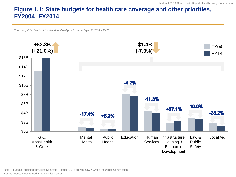#### **Figure 1.1: State budgets for health care coverage and other priorities, FY2004- FY2014**

*Total budget (dollars in billions) and total real growth percentage, FY2004 – FY2014*



Note: Figures all adjusted for Gross Domestic Product (GDP) growth; GIC = Group Insurance Commission Source: Massachusetts Budget and Policy Center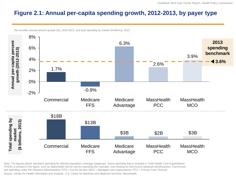#### **Figure 2.1: Annual per-capita spending growth, 2012-2013, by payer type**



*Per-enrollee annual percent growth (%), 2012-2013, and total spending by market (\$ billions), 2013*

Note: The figures above represent spending for defined population coverage subgroups. Some spending that is included in Total Health Care Expenditures (THCE) is omitted in the figure, such as MassHealth fee-for-service spending (for example, cost-sharing for low-income Medicare beneficiaries), CommCare, and spending under the Veterans Administration. FFS = Fee for service; MCO = Managed care organizations; PCC = Primary Care Clinician

Source: Center for Health Information and Analysis, U.S. Center for Medicare and Medicaid Services; MassHealth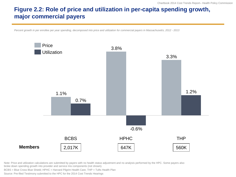### **Figure 2.2: Role of price and utilization in per-capita spending growth, major commercial payers**

*Percent growth in per enrollee per year spending, decomposed into price and utilization for commercial payers in Massachusetts, 2012 - 2013*



Note: Price and utilization calculations are submitted by payers with no health status adjustment and no analysis performed by the HPC. Some payers also broke down spending growth into provider and service mix components (not shown).

BCBS = Blue Cross Blue Shield; HPHC = Harvard Pilgrim Health Care; THP = Tufts Health Plan

Source: Pre-filed Testimony submitted to the HPC for the 2014 Cost Trends Hearings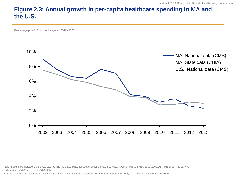#### **Figure 2.3: Annual growth in per-capita healthcare spending in MA and the U.S.**

*Percentage growth from previous year, 2002 - 2013*



Note: Solid lines indicate CMS data; dashed line indicates Massachusetts-specific data. Specifically; CMS NHE & SHEA 2002-2009,US NHE 2009 – 2013, MA TME 2009 – 2012, MA THCE 2012-2013

Source: Centers for Medicare & Medicaid Services, Massachusetts Center for Health Information and Analysis, United States Census Bureau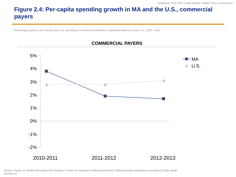# **Figure 2.4: Per-capita spending growth in MA and the U.S., commercial payers**

*Percentage growth in per member per year spending for commercial enrollees in Massachusetts and in the U.S., 2010 - 2013*



#### **COMMERCIAL PAYERS**

Source: Center for Health Information and Analysis; Centers for Medicare & Medicaid Services, National health expenditure accounts ("private health insurance")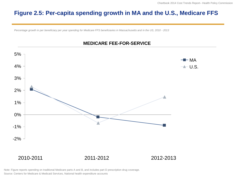#### **Figure 2.5: Per-capita spending growth in MA and the U.S., Medicare FFS**

*Percentage growth in per beneficiary per year spending for Medicare FFS beneficiaries in Massachusetts and in the US, 2010 - 2013*



**MEDICARE FEE-FOR-SERVICE**

Note: Figure reports spending on traditional Medicare parts A and B, and includes part D prescription drug coverage.

Source: Centers for Medicare & Medicaid Services, National health expenditure accounts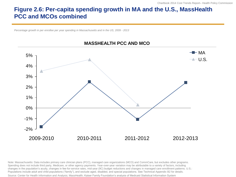#### **Figure 2.6: Per-capita spending growth in MA and the U.S., MassHealth PCC and MCOs combined**

*Percentage growth in per enrollee per year spending in Massachusetts and in the US, 2009 - 2013*



#### **MASSHEALTH PCC AND MCO**

Note: Massachusetts: Data includes primary care clinician plans (PCC), managed care organizations (MCO) and CommCare, but excludes other programs. Spending does not include third party, Medicare, or other agency payments. Year-over-year variation may be attributable to a variety of factors, including changes in the population's acuity, changes in fee-for-service rates, mid-year (9C) budget reductions and changes in managed care enrollment patterns. U.S.: Populations include adult and child populations ("family"), and exclude aged, disabled, and special populations. See Technical Appendix B2 for details. Source: Center for Health Information and Analysis; MassHealth; Kaiser Family Foundation's analysis of Medicaid Statistical Information System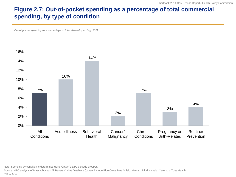#### **Figure 2.7: Out-of-pocket spending as a percentage of total commercial spending, by type of condition**

*Out-of-pocket spending as a percentage of total allowed spending, 2012*



Note: Spending by condition is determined using Optum's ETG episode grouper.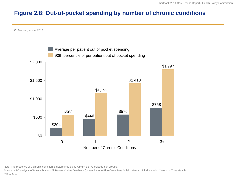#### **Figure 2.8: Out-of-pocket spending by number of chronic conditions**

*Dollars per person, 2012*



Note: The presence of a chronic condition is determined using Optum's ERG episode risk groups.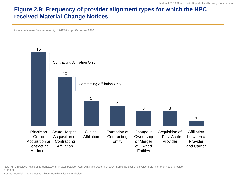#### **Figure 2.9: Frequency of provider alignment types for which the HPC received Material Change Notices**

*Number of transactions received April 2013 through December 2014*



Note: HPC received notice of 33 transactions, in total, between April 2013 and December 2014. Some transactions involve more than one type of provider alignment.

Source: Material Change Notice Filings, Health Policy Commission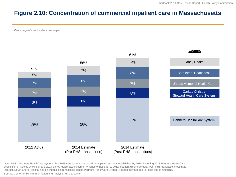#### **Figure 2.10: Concentration of commercial inpatient care in Massachusetts**

*Percentage of total inpatient discharges*



Note: PHS = Partners HealthCare System. Pre-PHS transactions are based on applying systems established by 2014 (including 2013 Partners HealthCare acquisition of Cooley Dickinson and 2014 Lahey Health acquisition of Winchester hospital) to 2012 inpatient discharge data. Post-PHS transactions estimate includes South Shore Hospital and Hallmark Health hospitals joining Partners HealthCare System. Figures may not add to totals due to rounding.

Source: Center for Health Information and Analysis; HPC analysis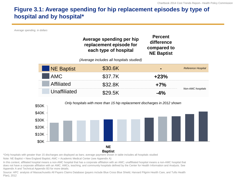#### **Figure 3.1: Average spending for hip replacement episodes by type of hospital and by hospital\***

*Average spending, in dollars*



**Baptist**

\*Only hospitals with greater than 15 discharges are displayed as bars; average payment shown in table includes all hospitals studied

Note: NE Baptist = New England Baptist; AMC = Academic Medical Center (see Appendix A)

In this context, affiliated hospital means a non-AMC hospital that has a corporate affiliation with an AMC; unaffiliated hospital means a non-AMC hospital that does not have a corporate affiliation with an AMC. AMCs, teaching, and community hospitals defined by the Center for Health Information and Analysis. See Appendix A and Technical Appendix B3 for more details.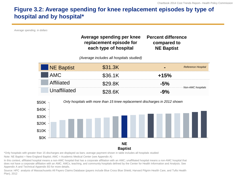#### **Figure 3.2: Average spending for knee replacement episodes by type of hospital and by hospital\***

*Average spending, in dollars*

| Average spending per knee | <b>Percent difference</b> |
|---------------------------|---------------------------|
| replacement episode for   | compared to               |
| each type of hospital     | <b>NE Baptist</b>         |

*(Average includes all hospitals studied)*



\*Only hospitals with greater than 15 discharges are displayed as bars; average payment shown in table includes all hospitals studied

Note: NE Baptist = New England Baptist; AMC = Academic Medical Center (see Appendix A)

In this context, affiliated hospital means a non-AMC hospital that has a corporate affiliation with an AMC; unaffiliated hospital means a non-AMC hospital that does not have a corporate affiliation with an AMC. AMCs, teaching, and community hospitals defined by the Center for Health Information and Analysis. See Appendix A and Technical Appendix B3 for more details.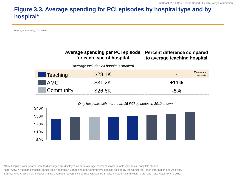#### **Figure 3.3. Average spending for PCI episodes by hospital type and by hospital\***

*Average spending, in dollars*

#### **Average spending per PCI episode for each type of hospital**

#### **Percent difference compared to average teaching hospital**

*(Average includes all hospitals studied)*

| CONNINGING |  |
|------------|--|



#### \*Only hospitals with greater than 15 discharges are displayed as bars; average payment shown in table includes all hospitals studied Note: AMC = Academic medical center (see Appendix A). Teaching and Community Hospitals defined by the Center for Health Information and Analysis. Source: HPC Analysis of All-Payer Claims Database (payers include Blue Cross Blue Shield, Harvard Pilgrim Health Care, and Tufts Health Plan), 2012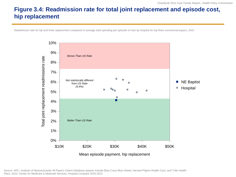#### **Figure 3.4: Readmission rate for total joint replacement and episode cost, hip replacement**

*Readmission rate for hip and knee replacement compared to average total spending per episode of care by hospital for top three commercial payers, 2012*



Source: HPC analysis of Massachusetts All Payers Claims Database (payers include Blue Cross Blue Shield, Harvard Pilgrim Health Care, and Tufts Health Plan), 2012; Center for Medicare & Medicaid Services, Hospital Compare 2010-2012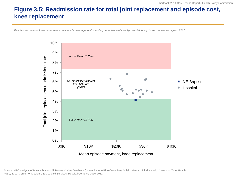#### **Figure 3.5: Readmission rate for total joint replacement and episode cost, knee replacement**

*Readmission rate for knee replacement compared to average total spending per episode of care by hospital for top three commercial payers, 2012*



Source: HPC analysis of Massachusetts All Payers Claims Database (payers include Blue Cross Blue Shield, Harvard Pilgrim Health Care, and Tufts Health Plan), 2012; Center for Medicare & Medicaid Services, Hospital Compare 2010-2012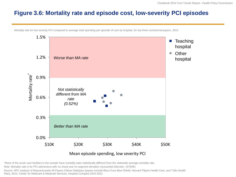#### **Figure 3.6: Mortality rate and episode cost, low-severity PCI episodes**

1.5% **Teaching** hospital**Other**  $\bullet$ 1.2% *Worse than MA rate* hospital Mortality rate \* 0.9% *Not statistically different from MA*  0.6% *rate (0.52%)* 0.3% *Better than MA rate* 0.0% \$10K \$20K \$30K \$40K \$50K Mean episode spending, low severity PCI

*Mortality rate for low severity PCI compared to average total spending per episode of care by hospital, for top three commercial payers, 2012*

\*None of the acute care facilities in the sample have mortality rates statistically different from the statewide average mortality rate.

Note: Mortality rate is for PCI admissions with no shock and no segment elevation myocardial infarction (STEMI)

Source: HPC analysis of Massachusetts All Payers Claims Database (payers include Blue Cross Blue Shield, Harvard Pilgrim Health Care, and Tufts Health Plan), 2012; Center for Medicare & Medicaid Services, Hospital Compare 2010-2012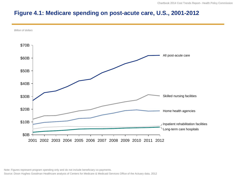#### **Figure 4.1: Medicare spending on post-acute care, U.S., 2001-2012**



Note: Figures represent program spending only and do not include beneficiary co-payments.

Source: Dixon Hughes Goodman Healthcare analysis of Centers for Medicare & Medicaid Services Office of the Actuary data, 2012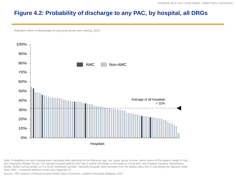#### **Figure 4.2: Probability of discharge to any PAC, by hospital, all DRGs**

*Adjusted share of discharges to any post-acute care setting, 2012*



Note: Probabilities for each hospital were calculated after adjusting for the following: age, sex, payer group, income, admit source of the patient, length of stay, and Diagnostic Related Group. Our sample included patients who had a routine discharge, a discharge to a long-term care hospital, inpatient rehabilitation facility, skilled nursing facility, or to a home healthcare provider. Specialty hospitals were excluded from the display table and in calculating the Adjusted State Rate. AMC = Academic Medical Center (see Appendix A)

Source: HPC analysis of Massachusetts Health Data Consortium, inpatient discharge database, 2012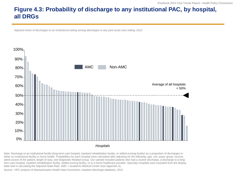# **Figure 4.3: Probability of discharge to any institutional PAC, by hospital, all DRGs**

*Adjusted share of discharges to an institutional setting among discharges to any post-acute care setting, 2012*



Note: Discharge to an institutional facility (long-term care hospital, inpatient rehabilitation facility, or skilled nursing facility) as a proportion of discharges to either an institutional facility or home health. Probabilities for each hospital were calculated after adjusting for the following: age, sex, payer group, income, admit source of the patient, length of stay, and Diagnostic Related Group. Our sample included patients who had a routine discharge, a discharge to a longterm care hospital, inpatient rehabilitation facility, skilled nursing facility, or to a home healthcare provider. Specialty hospitals were excluded from the display table and in calculating the Adjusted State Rate. AMC = Academic Medical Center (see Appendix A)

Source: HPC analysis of Massachusetts Health Data Consortium, inpatient discharge database, 2012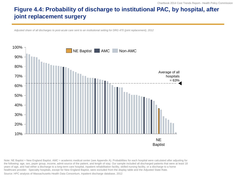### **Figure 4.4: Probability of discharge to institutional PAC, by hospital, after joint replacement surgery**

*Adjusted share of all discharges to post-acute care sent to an institutional setting for DRG 470 (joint replacement), 2012*



Note: NE Baptist = New England Baptist. AMC = academic medical center (see Appendix A). Probabilities for each hospital were calculated after adjusting for the following: age, sex, payer group, income, admit source of the patient, and length of stay. Our sample included all discharged patients that were at least 18 years of age, and had either a discharge to a long-term care hospital, inpatient rehabilitation facility, skilled nursing facility, or a discharge to a home healthcare provider. Specialty hospitals, except for New England Baptist, were excluded from the display table and the Adjusted State Rate.

Source: HPC analysis of Massachusetts Health Data Consortium, Inpatient discharge database, 2012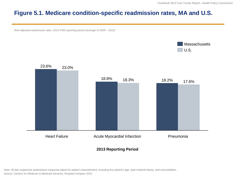#### **Figure 5.1. Medicare condition-specific readmission rates, MA and U.S.**

*Risk-adjusted readmission rates, 2013 CMS reporting period (average of 2009 – 2012)*





#### **2013 Reporting Period**

Note: 30-day unplanned readmission measures adjust for patient characteristics, including the patient's age, past medical history, and comorbidities.

Source: Centers for Medicare & Medicaid Services, Hospital Compare 2013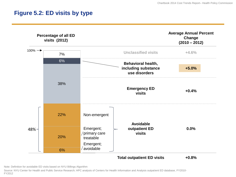#### **Figure 5.2: ED visits by type**



Note: Definition for avoidable ED visits based on NYU Billings Algorithm

Source: NYU Center for Health and Public Service Research; HPC analysis of Centers for Health Information and Analysis outpatient ED database, FY2010- FY2012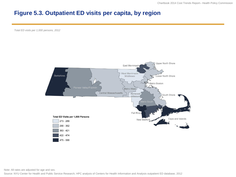### **Figure 5.3. Outpatient ED visits per capita, by region**

*Total ED visits per 1,000 persons, 2012*



Note: All rates are adjusted for age and sex.

Source: NYU Center for Health and Public Service Research; HPC analysis of Centers for Health Information and Analysis outpatient ED database, 2012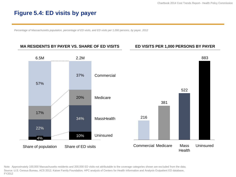#### **Figure 5.4: ED visits by payer**

*Percentage of Massachusetts population, percentage of ED visits, and ED visits per 1,000 persons, by payer, 2012*

#### **MA RESIDENTS BY PAYER VS. SHARE OF ED VISITS ED VISITS PER 1,000 PERSONS BY PAYER**



Note: Approximately 100,000 Massachusetts residents and 200,000 ED visits not attributable to the coverage categories shown are excluded from the data. Source: U.S. Census Bureau, ACS 2012; Kaiser Family Foundation; HPC analysis of Centers for Health Information and Analysis Outpatient ED database, FY2012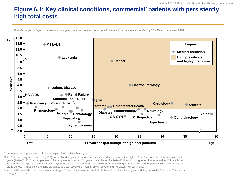### **Figure 6.1: Key clinical conditions, commercial\* patients with persistently high total costs**

*Prevalence (%) of high cost patients with a given medical condition versus predictive ability of the medical condition (Odds Ratio), base year 2010*



\*Commercial adult population is limited to ages 19-64 in 2010 base year.

Note: Persistent high-cost patients (HCP) are defined as patients whose medical expenditures were in the highest 5% of all patients for three consecutive years (2010-2012). The sample was limited to patients who had full years of enrollment for 2010-2012 and costs greater than or equal to \$0 in each year.

Figures do not capture pharmacy costs, payments outside the claims system, Medicare cost-sharing, or end-of-life care for patients who died during the study period. All medical conditions presented are statistically significant; SPMI=Severe and Persistent Mental Illness.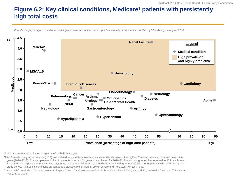### **Figure 6.2: Key clinical conditions, Medicare† patients with persistently high total costs**

*Prevalence (%) of high cost patients with a given medical condition versus predictive ability of the medical condition (Odds Ratio), base year 2010*



†Medicare population is limited to ages >=65 in 2010 base year

Note: Persistent high-cost patients (HCP) are defined as patients whose medical expenditures were in the highest 5% of all patients for three consecutive years (2010-2012). The sample was limited to patients who had full years of enrollment for 2010-2012 and costs greater than or equal to \$0 in each year. Figures do not capture pharmacy costs, payments outside the claims system, Medicare cost-sharing, or end-of-life care for patients who died during the study period. All medical conditions presented are statistically significant; SPMI=Severe and Persistent Mental Illness.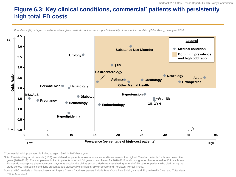#### **Figure 6.3: Key clinical conditions, commercial\* patients with persistently high total ED costs**

*Prevalence (%) of high cost patients with a given medical condition versus predictive ability of the medical condition (Odds Ratio), base year 2010*



\*Commercial adult population is limited to ages 19-64 in 2010 base year.

Note: Persistent high-cost patients (HCP) are defined as patients whose medical expenditures were in the highest 5% of all patients for three consecutive years (2010-2012). The sample was limited to patients who had full years of enrollment for 2010-2012 and costs greater than or equal to \$0 in each year. Figures do not capture pharmacy costs, payments outside the claims system, Medicare cost-sharing, or end-of-life care for patients who died during the study period. All medical conditions presented are statistically significant; SPMI=Severe and Persistent Mental Illness.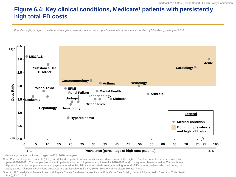### **Figure 6.4: Key clinical conditions, Medicare† patients with persistently high total ED costs**

*Prevalence (%) of high cost patients with a given medical condition versus predictive ability of the medical condition (Odds Ratio), base year 2010*



†Medicare population is limited to ages >=65 in 2010 base year

Note: Persistent high-cost patients (HCP) are defined as patients whose medical expenditures were in the highest 5% of all patients for three consecutive years (2010-2012). The sample was limited to patients who had full years of enrollment for 2010-2012 and costs greater than or equal to \$0 in each year. Figures do not capture pharmacy costs, payments outside the claims system, Medicare cost-sharing, or end-of-life care for patients who died during the study period. All medical conditions presented are statistically significant; SPMI=Severe and Persistent Mental Illness.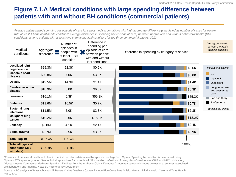### **Figure 7.1.A Medical conditions with large spending difference between patients with and without BH conditions (commercial patients)**

*Average claims-based spending per episode of care for select medical conditions with high aggregate difference (calculated as number of cases for people with at least 1 behavioral health condition\* average difference in spending per episode of care) between people with and without behavioral health (BH) conditions, among patients with at least one chronic medical condition, for top three commercial payers, 2012*

| Medical<br>conditions                               | Aggregate<br>difference | Number of<br>episodes in<br>people with | Difference in<br>spending per<br>episode of care<br>between people | Difference in spending by category of service <sup>t</sup> | Among people with<br>at least 1 chronic<br>medical condition |  |
|-----------------------------------------------------|-------------------------|-----------------------------------------|--------------------------------------------------------------------|------------------------------------------------------------|--------------------------------------------------------------|--|
|                                                     |                         | at least 1 BH<br>condition              | with and without<br><b>BH</b> conditions                           |                                                            |                                                              |  |
| <b>Localized joint</b><br>degeneration              | \$29.3M                 | 52.3K                                   | \$0.6K                                                             | \$0.6K                                                     | Institutional claims                                         |  |
| <b>Ischemic heart</b><br>disease                    | \$20.8M                 | 7.0K                                    | \$3.0K                                                             | \$3.0K                                                     | $\Box$ ED<br>Inpatient                                       |  |
| <b>Obesity</b>                                      | \$19.5M                 | 14.3K                                   | \$1.4K                                                             | \$1.4K                                                     | <b>Outpatient</b>                                            |  |
| Cerebral vascular<br>disease                        | \$18.9M                 | 3.0K                                    | \$6.3K                                                             | \$6.3K                                                     | Long-term care<br>and post-acute                             |  |
| Leukemia                                            | \$16.1M                 | 0.3K                                    | \$55.3K                                                            | \$55.3K                                                    | care<br>Lab and X-ray                                        |  |
| <b>Diabetes</b>                                     | \$11.6M                 | 16.5K                                   | \$0.7K                                                             | \$0.7K                                                     | Professional                                                 |  |
| <b>Bacterial lung</b><br><b>infections</b>          | \$11.5M                 | 5.0K                                    | \$2.3K                                                             | \$2.3K                                                     | Professional claims                                          |  |
| <b>Malignant lung</b><br>cancer                     | \$10.2M                 | 0.6K                                    | \$18.2K                                                            | \$18.2K                                                    |                                                              |  |
| <b>Epilepsy</b>                                     | \$9.8M                  | 4.1K                                    | \$2.4K                                                             | \$2.4K                                                     |                                                              |  |
| Spinal trauma                                       | \$9.7M                  | 2.5K                                    | \$3.9K                                                             | \$3.9K                                                     |                                                              |  |
| <b>Total Top 10</b>                                 | \$157.4M                | 105.4K                                  |                                                                    |                                                            |                                                              |  |
| Total all types of<br>conditions (310<br>with data) | \$395.8M                | 908.8K                                  |                                                                    | 100%                                                       |                                                              |  |

\*Presence of behavioral health and chronic medical conditions determined by episode risk flags from Optum. Spending by condition is determined using Optum's ETG episode grouper. See technical appendices for more detail. †For detailed definitions of categories of service, see CHIA and HPC publication, "Massachusetts Commercial Medicare Spending: Findings from the All-Payer Claims Database." Lab/x-ray category includes professional services associated with laboratory and imaging. Note: ED = Emergency Department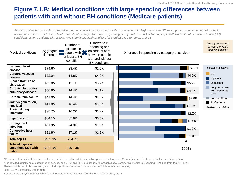#### **Figure 7.1.B: Medical conditions with large spending differences between patients with and without BH conditions (Medicare patients)**

*Average claims based medical expenditure per episode of care for select medical conditions with high aggregate difference (calculated as number of cases for people with at least 1 behavioral health condition\* average difference in spending per episode of care) between people with and without behavioral health (BH) conditions, among patients with at least one chronic medical condition, for Medicare fee-for-service, 2011*

| <b>Medical conditions</b>                                  | Aggregate <b>I</b><br>difference | Number of<br>episodes in<br>people with $\geq$<br>at least 1 BH<br>condition | Difference in<br>spending per<br>episode of care<br>between people<br>with and without<br><b>BH</b> conditions | Difference in spending by category of service <sup>t</sup> | Among people with<br>at least 1 chronic<br>medical condition |  |
|------------------------------------------------------------|----------------------------------|------------------------------------------------------------------------------|----------------------------------------------------------------------------------------------------------------|------------------------------------------------------------|--------------------------------------------------------------|--|
|                                                            |                                  |                                                                              |                                                                                                                |                                                            |                                                              |  |
| <b>Ischemic heart</b><br>disease                           | \$74.6M                          | 29.4K                                                                        | \$2.5K                                                                                                         | \$2.5K                                                     | Institutional claims                                         |  |
| <b>Cerebral vascular</b><br>disease                        | \$72.0M                          | 14.8K                                                                        | \$4.9K                                                                                                         | \$4.9K                                                     | E<br>  Inpatient                                             |  |
| <b>Closed fracture or</b><br>dislocation                   | \$63.8M                          | 12.1K                                                                        | \$5.2K                                                                                                         | \$5.2K                                                     | Outpatient                                                   |  |
| <b>Chronic obstructive</b><br>pulmonary disease            | \$58.6M                          | 14.4K                                                                        | \$4.1K                                                                                                         | \$4.1K                                                     | Long-term care<br>and post-acute<br>care                     |  |
| <b>Chronic renal failure</b>                               | \$41.0M                          | 14.4K                                                                        | \$2.8K                                                                                                         | \$2.8K                                                     | Lab and X-ray                                                |  |
| Joint degeneration,<br>localized                           | \$41.8M                          | 43.4K                                                                        | \$1.0K                                                                                                         | $\parallel$ \$1.0K                                         | Professional                                                 |  |
| <b>Bacterial lung</b><br><b>infections</b>                 | \$35.7M                          | 16.2K                                                                        | \$2.2K                                                                                                         | \$2.2K                                                     | Professional claims                                          |  |
| <b>Hypertension</b>                                        | \$34.1M                          | 67.9K                                                                        | \$0.5K                                                                                                         | \$0.5K                                                     |                                                              |  |
| <b>Urinary tract</b><br><b>infection</b>                   | \$31.9M                          | 24.8K                                                                        | \$1.3K                                                                                                         |                                                            |                                                              |  |
| <b>Congestive heart</b><br>failure                         | \$31.8M                          | 17.1K                                                                        | \$1.9K                                                                                                         | \$1.3K                                                     |                                                              |  |
| <b>Total top 10</b>                                        | \$485.3M                         | 254.7K                                                                       |                                                                                                                | \$1.9K                                                     |                                                              |  |
| <b>Total all types of</b><br>conditions (294 with<br>data) | \$951.3M                         | 1,079.4K                                                                     |                                                                                                                | 100%                                                       |                                                              |  |

\*Presence of behavioral health and chronic medical conditions determined by episode risk flags from Optum (see technical appendix for more information) †For detailed definitions of categories of service, see CHIA and HPC publication, "Massachusetts Commercial Medicare Spending: Findings from the All-Payer Claims Database." Lab/x-ray category includes professional services associated with laboratory and imaging.

Note: ED = Emergency Department

Source: HPC analysis of Massachusetts All Payers Claims Database (Medicare fee-for-service), 2011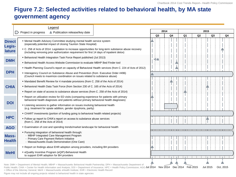#### **Figure 7.2: Selected activities related to behavioral health, by MA state government agency**

|                               | Legend                                                                                                                                                                                                                                                                                                     |  | 2014 |                | 2015           |    |          |                |  |
|-------------------------------|------------------------------------------------------------------------------------------------------------------------------------------------------------------------------------------------------------------------------------------------------------------------------------------------------------|--|------|----------------|----------------|----|----------|----------------|--|
|                               | $\triangleright$ Project in progress<br>▲ Publication release/key date                                                                                                                                                                                                                                     |  | Q3   | Q <sub>4</sub> | Q <sub>1</sub> | Q2 | Q3       | Q <sub>4</sub> |  |
| <b>Direct</b><br>Legis-       | • Mental Health Advisory Committee studying mental health service system<br>(especially potential impact of closing Taunton State Hospital)                                                                                                                                                                |  |      |                |                |    |          |                |  |
| <b>lature</b>                 | • C. 258 of Acts of 2014: Legislation to increase opportunities for long-term substance abuse recovery<br>(including removing prior authorization requirement for first 14 days of inpatient detox)                                                                                                        |  |      |                |                |    |          |                |  |
|                               | • Behavioral Health Integration Task Force Report published (Jul 2013)                                                                                                                                                                                                                                     |  |      |                |                |    |          |                |  |
| <b>DMH</b>                    | • Behavioral Health Access Website Commission to evaluate MBHP Bed Finder tool                                                                                                                                                                                                                             |  |      |                |                |    |          |                |  |
|                               | • Health Planning Council's report on capacity of Behavioral Health services (from C. 224 of Acts of 2012)                                                                                                                                                                                                 |  |      |                |                |    |          |                |  |
| <b>DPH</b>                    | Interagency Council on Substance Abuse and Prevention (from Executive Order #496)<br>(Council meets to maximize coordination on issues related to substance abuse)                                                                                                                                         |  |      |                |                |    |          |                |  |
|                               | • Mandated Benefit Review for 4 mandate provisions (from C. 258 of the Acts of 2014)                                                                                                                                                                                                                       |  |      |                |                |    |          |                |  |
| <b>CHIA</b>                   | • Behavioral Health Data Task Force (from Section 230 of C. 165 of the Acts of 2014)                                                                                                                                                                                                                       |  |      |                |                |    |          |                |  |
|                               | Report on state of access to substance abuse services (from C. 258 of the Acts of 2014)                                                                                                                                                                                                                    |  |      |                |                |    |          |                |  |
|                               | " Report on utilization review for ED visits (comparing experience for patients with primary<br>behavioral health diagnoses and patients without primary behavioral health diagnoses)                                                                                                                      |  |      |                |                |    |          |                |  |
| <b>DOI</b>                    | . Listening sessions to gather information on issues involving behavioral health<br>(e.g. treatment for opiate addition, gender dysphoria, parity)                                                                                                                                                         |  |      |                |                |    |          |                |  |
|                               | • CHART investments (portion of funding going to behavioral health related projects)                                                                                                                                                                                                                       |  |      |                |                |    |          |                |  |
| <b>HPC</b>                    | • Follow up report to CHIA's report on access to substance abuse services<br>(from C. 258 of the Acts of 2014)                                                                                                                                                                                             |  |      |                |                |    |          |                |  |
| <b>AGO</b>                    | Examination of cost and spending trends/market landscape for behavioral health                                                                                                                                                                                                                             |  |      |                |                |    |          |                |  |
| <b>Mass-</b><br><b>Health</b> | . Pursuing integration of behavioral health through:<br>- MBHP Integrated Care Management Program<br>- Primary Care Payment Reform Initiative                                                                                                                                                              |  |      |                |                |    |          |                |  |
|                               | - Massachusetts Duals Demonstration (One Care)                                                                                                                                                                                                                                                             |  |      |                |                |    |          |                |  |
|                               | Report on findings about EHR adoption among providers, including BH providers                                                                                                                                                                                                                              |  |      |                |                |    |          |                |  |
| <b>MeHI</b>                   | · eQuality Incentive Program (eQIP)-Behavioral Health<br>to support EHR adoption for BH providers                                                                                                                                                                                                          |  |      |                |                |    |          |                |  |
|                               | Note: DMH = Department of Mental Health; MBHP = Massachusetts Behavioral Health Partnership; DPH = Massachusetts Department of<br>Public Health; CHIA = Center for Health Information and Analysis; DOI = Department of Insurance; HPC = Health Policy Commission; AGO Jul 2014 Nov 2014 Dec 2014 Feb 2015 |  |      |                |                |    | Jul 2015 | Oct. 2015      |  |

Figure may not include all ongoing projects related to behavioral health in state agencies

= Office of the Attorney General; MeHI = Massachusetts eHealth Institute; EHR = Electronic Health Record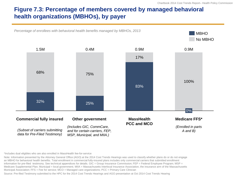#### **Figure 7.3: Percentage of members covered by managed behavioral health organizations (MBHOs), by payer**

*Percentage of enrollees with behavioral health benefits managed by MBHOs, 2013*

MBHO No MBHO



\*Includes dual eligibles who are also enrolled in MassHealth fee-for-service

Note: Information presented by the Attorney General Office (AGO) at the 2014 Cost Trends Hearings was used to classify whether plans do or do not engage an MBHO for behavioral health benefits. Total enrollment in commercial fully-insured plans includes only commercial carriers that submitted enrollment information for pre-filed testimony. See technical appendices for details. GIC = Group Insurance Commission; FEP = Federal Employee Program; MSP = Medicare Supplemental Plan; Municipal = local government; MIIA = Massachusetts Interlocal Insurance Association, the insurance arm of the Massachusetts Municipal Association; FFS = Fee for service; MCO = Managed care organizations; PCC = Primary Care Clinician

Source: Pre-filed Testimony submitted to the HPC for the 2014 Cost Trends Hearings and AGO presentation at Oct 2014 Cost Trends Hearing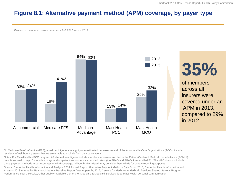#### **Figure 8.1: Alternative payment method (APM) coverage, by payer type**

*Percent of members covered under an APM, 2012 versus 2013*



# **35%**

of members across all insurers were covered under an APM in 2013, compared to 29% in 2012

\*In Medicare Fee-for-Service (FFS), enrollment figures are slightly overestimated because several of the Accountable Care Organizations (ACOs) include residents of neighboring states that we are unable to exclude from data calculations.

Notes: For MassHealth's PCC program, APM enrollment figures include members who were enrolled in the Patient-Centered Medical Home Initiative (PCMHI) only. MassHealth pays for inpatient stays and outpatient encounters via bundled rates, (the SPAD and APAD, formerly PAPE). The HPC does not include these payment methods in our estimates of APM coverage, although MassHealth may consider them APMs for certain reporting purposes.

Source: Center for Health Information and Analysis 2014 Annual Report Alternative Payment Methods Data Book, 2013; Center for Health Information and Analysis 2013 Alternative Payment Methods Baseline Report Data Appendix, 2012; Centers for Medicare & Medicaid Services Shared Savings Program Performance Year 1 Results; Other publicly-available Centers for Medicare & Medicaid Services data; MassHealth personal communication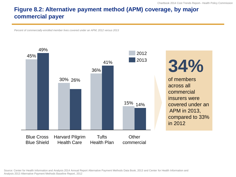### **Figure 8.2: Alternative payment method (APM) coverage, by major commercial payer**

*Percent of commercially-enrolled member lives covered under an APM, 2012 versus 2013*



Source: Center for Health Information and Analysis 2014 Annual Report Alternative Payment Methods Data Book, 2013 and Center for Health Information and Analysis 2013 Alternative Payment Methods Baseline Report, 2012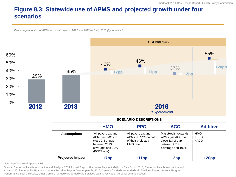# **Figure 8.3: Statewide use of APMS and projected growth under four scenarios**

*Percentage adoption of APMs across all payers, 2012 and 2013 (actual), 2016 (hypothetical)*



Note: See Technical Appendix B8.

Source: Center for Health Information and Analysis 2014 Annual Report Alternative Payment Methods Data Book, 2013; Center for Health Information and Analysis 2013 Alternative Payment Methods Baseline Report Data Appendix, 2012; Centers for Medicare & Medicaid Services Shared Savings Program Performance Year 1 Results; Other Centers for Medicare & Medicaid Services data; MassHealth personal communication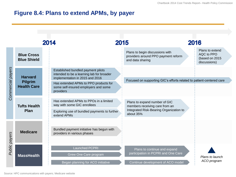#### **Figure 8.4: Plans to extend APMs, by payer**

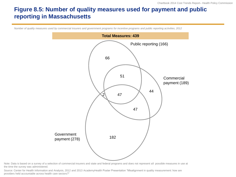#### **Figure 8.5: Number of quality measures used for payment and public reporting in Massachusetts**

*Number of quality measures used by commercial insurers and government programs for incentive programs and public reporting activities, 2012*



Note: Data is based on a survey of a selection of commercial insurers and state and federal programs and does not represent all possible measures in use at the time the survey was administered.

Source: Center for Health Information and Analysis, 2012 and 2013 AcademyHealth Poster Presentation "Misalignment in quality measurement: how are providers held accountable across health care sectors?"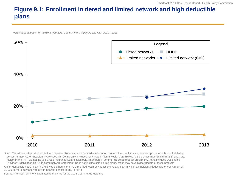# **Figure 9.1: Enrollment in tiered and limited network and high deductible plans**

*Percentage adoption by network type across all commercial payers and GIC, 2010 - 2013*



Notes: Tiered network product as defined by payer. Some variation may exist in included product lines, for instance, between products with hospital tiering versus Primary Care Physician (PCP)/specialist tiering only (included for Harvard Pilgrim Health Care (HPHC)). Blue Cross Blue Shield (BCBS) and Tufts Health Plan (THP) did not include Group Insurance Commission (GIC) members in commercial tiered product enrollment. Aetna includes Designated Provider Organization (DPO) in tiered network enrollment. Does not include self-insured plans, which may have higher update of these products.

A high-deductible health plan (HDHP) was defined in the AGO pre-filed testimony questions as any plan in which an individual deductible or copayment of \$1,000 or more may apply to any in-network benefit at any tier level.

Source: Pre-filed Testimony submitted to the HPC for the 2014 Cost Trends Hearings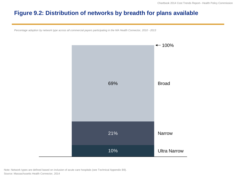#### **Figure 9.2: Distribution of networks by breadth for plans available**

*Percentage adoption by network type across all commercial payers participating in the MA Health Connector, 2010 - 2013*



Note: Network types are defined based on inclusion of acute care hospitals (see Technical Appendix B9). Source: Massachusetts Health Connector, 2014